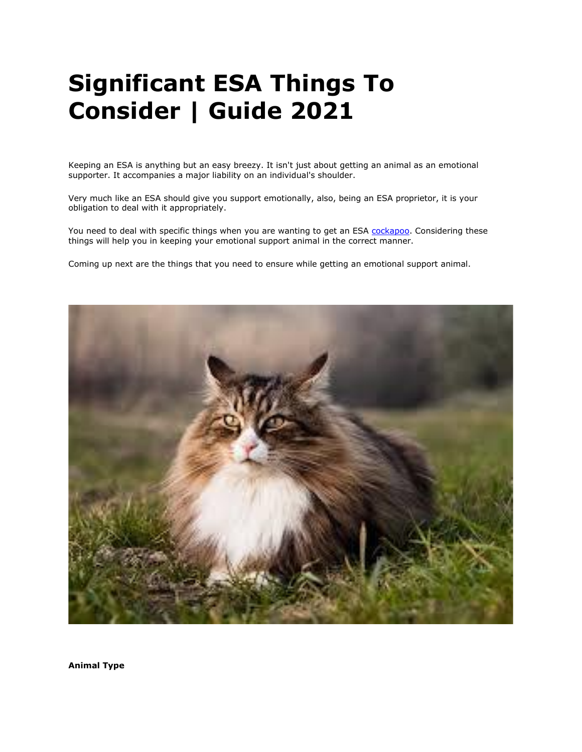# **Significant ESA Things To Consider | Guide 2021**

Keeping an ESA is anything but an easy breezy. It isn't just about getting an animal as an emotional supporter. It accompanies a major liability on an individual's shoulder.

Very much like an ESA should give you support emotionally, also, being an ESA proprietor, it is your obligation to deal with it appropriately.

You need to deal with specific things when you are wanting to get an ESA [cockapoo.](https://www.realesaletter.com/blog/dog-breeds/cockapoo) Considering these things will help you in keeping your emotional support animal in the correct manner.

Coming up next are the things that you need to ensure while getting an emotional support animal.



**Animal Type**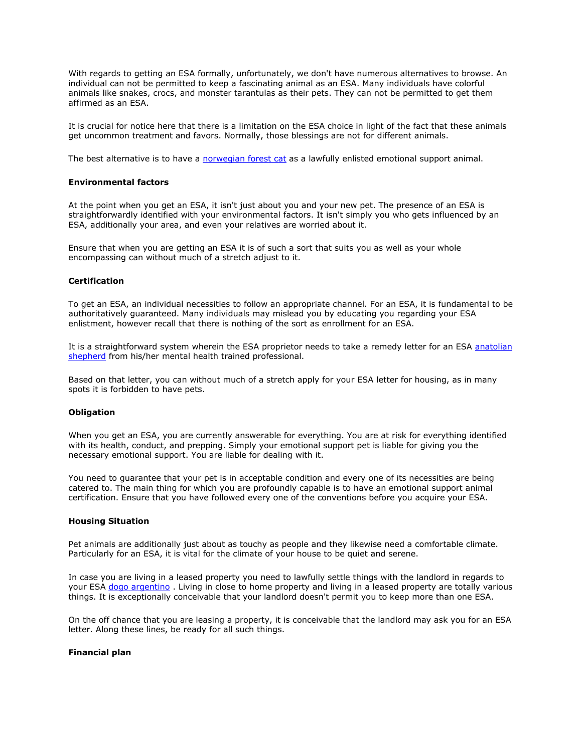With regards to getting an ESA formally, unfortunately, we don't have numerous alternatives to browse. An individual can not be permitted to keep a fascinating animal as an ESA. Many individuals have colorful animals like snakes, crocs, and monster tarantulas as their pets. They can not be permitted to get them affirmed as an ESA.

It is crucial for notice here that there is a limitation on the ESA choice in light of the fact that these animals get uncommon treatment and favors. Normally, those blessings are not for different animals.

The best alternative is to have a [norwegian forest cat](https://www.realesaletter.com/blog/cat-breeds/norwegian-forest-cat) as a lawfully enlisted emotional support animal.

### **Environmental factors**

At the point when you get an ESA, it isn't just about you and your new pet. The presence of an ESA is straightforwardly identified with your environmental factors. It isn't simply you who gets influenced by an ESA, additionally your area, and even your relatives are worried about it.

Ensure that when you are getting an ESA it is of such a sort that suits you as well as your whole encompassing can without much of a stretch adjust to it.

#### **Certification**

To get an ESA, an individual necessities to follow an appropriate channel. For an ESA, it is fundamental to be authoritatively guaranteed. Many individuals may mislead you by educating you regarding your ESA enlistment, however recall that there is nothing of the sort as enrollment for an ESA.

It is a straightforward system wherein the ESA proprietor needs to take a remedy letter for an ESA anatolian [shepherd](https://www.realesaletter.com/blog/dog-breeds/anatolian-shepherd) from his/her mental health trained professional.

Based on that letter, you can without much of a stretch apply for your ESA letter for housing, as in many spots it is forbidden to have pets.

## **Obligation**

When you get an ESA, you are currently answerable for everything. You are at risk for everything identified with its health, conduct, and prepping. Simply your emotional support pet is liable for giving you the necessary emotional support. You are liable for dealing with it.

You need to guarantee that your pet is in acceptable condition and every one of its necessities are being catered to. The main thing for which you are profoundly capable is to have an emotional support animal certification. Ensure that you have followed every one of the conventions before you acquire your ESA.

#### **Housing Situation**

Pet animals are additionally just about as touchy as people and they likewise need a comfortable climate. Particularly for an ESA, it is vital for the climate of your house to be quiet and serene.

In case you are living in a leased property you need to lawfully settle things with the landlord in regards to your ESA [dogo argentino](https://www.realesaletter.com/blog/dog-breeds/dogo-argentino) . Living in close to home property and living in a leased property are totally various things. It is exceptionally conceivable that your landlord doesn't permit you to keep more than one ESA.

On the off chance that you are leasing a property, it is conceivable that the landlord may ask you for an ESA letter. Along these lines, be ready for all such things.

# **Financial plan**